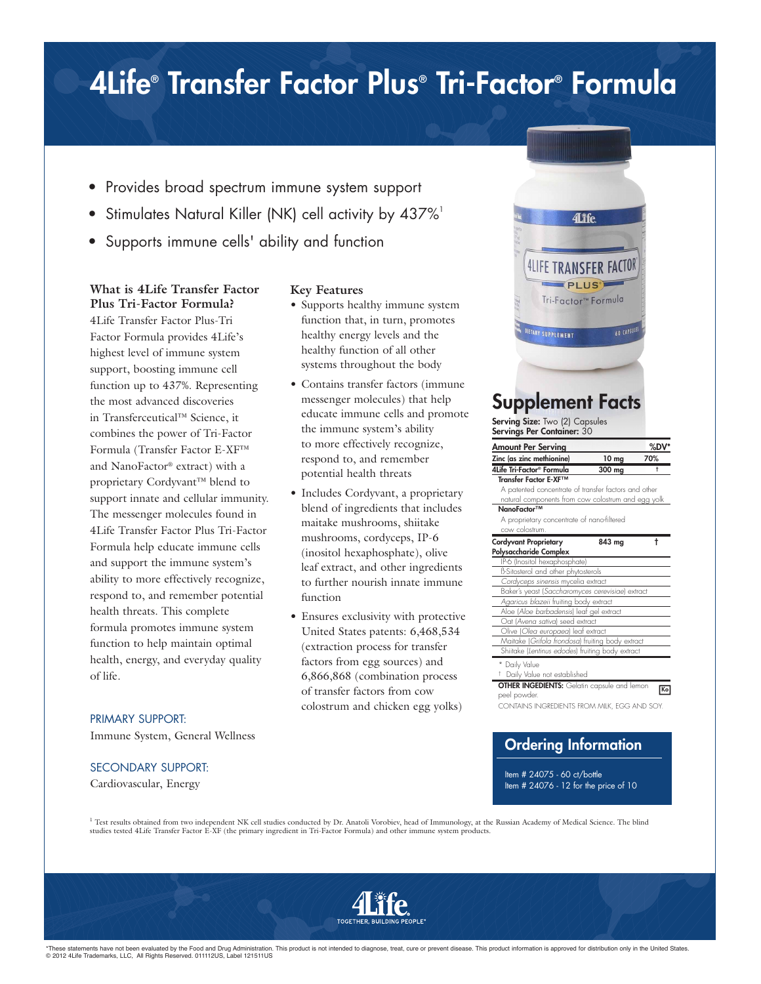## 4Life® Transfer Factor Plus® Tri-Factor® Formula

- Provides broad spectrum immune system support
- Stimulates Natural Killer (NK) cell activity by 437%<sup>1</sup>
- Supports immune cells' ability and function

#### **What is 4Life Transfer Factor Plus Tri-Factor Formula?**

4Life Transfer Factor Plus-Tri Factor Formula provides 4Life's highest level of immune system support, boosting immune cell function up to 437%. Representing the most advanced discoveries in Transferceutical™ Science, it combines the power of Tri-Factor Formula (Transfer Factor E-XF™ and NanoFactor® extract) with a proprietary Cordyvant™ blend to support innate and cellular immunity. The messenger molecules found in 4Life Transfer Factor Plus Tri-Factor Formula help educate immune cells and support the immune system's ability to more effectively recognize, respond to, and remember potential health threats. This complete formula promotes immune system function to help maintain optimal health, energy, and everyday quality of life.

#### PRIMARY SUPPORT:

Immune System, General Wellness

#### SECONDARY SUPPORT:

Cardiovascular, Energy

#### **Key Features**

- Supports healthy immune system function that, in turn, promotes healthy energy levels and the healthy function of all other systems throughout the body
- Contains transfer factors (immune messenger molecules) that help educate immune cells and promote the immune system's ability to more effectively recognize, respond to, and remember potential health threats
- Includes Cordyvant, a proprietary blend of ingredients that includes maitake mushrooms, shiitake mushrooms, cordyceps, IP-6 (inositol hexaphosphate), olive leaf extract, and other ingredients to further nourish innate immune function
- Ensures exclusivity with protective United States patents: 6,468,534 (extraction process for transfer factors from egg sources) and 6,866,868 (combination process of transfer factors from cow colostrum and chicken egg yolks)



### Supplement Facts

Serving Size: Two (2) Capsules Servings Per Container: 30

| Amount Per Serving                                   | %DV' |
|------------------------------------------------------|------|
| Zinc (as zinc methionine)<br>10 <sub>mg</sub>        | 70%  |
| 4Life Tri-Factor® Formula<br>300 mg                  | ŧ    |
| Transfer Factor F-XF™                                |      |
| A patented concentrate of transfer factors and other |      |
| natural components from cow colostrum and egg yolk   |      |
| NanoFactor™                                          |      |
| A proprietary concentrate of nano-filtered           |      |
| cow colostrum.                                       |      |
| <b>Cordyvant Proprietary</b><br>843 ma               | t    |
| Polysaccharide Complex                               |      |
| IP-6 (Inositol hexaphosphate)                        |      |
| B-Sitosterol and other phytosterols                  |      |
| Cordyceps sinensis mycelia extract                   |      |
| Baker's yeast (Saccharomyces cerevisiae) extract     |      |
| Agaricus blazeii fruiting body extract               |      |
| Aloe (Aloe barbadensis) leaf gel extract             |      |
| Oat (Avena sativa) seed extract                      |      |
| Olive (Olea europaea) leaf extract                   |      |
| Maitake (Grifola frondosa) fruiting body extract     |      |
| Shiitake (Lentinus edodes) fruiting body extract     |      |
| * Daily Value                                        |      |
| <sup>†</sup> Daily Value not established             |      |
| <b>OTHER INGEDIENTS:</b> Gelatin capsule and lemon   | Ko   |
|                                                      |      |
| peel powder.                                         |      |

### Ordering Information

Item # 24075 - 60 ct/bottle Item # 24076 - 12 for the price of 10

<sup>1</sup> Test results obtained from two independent NK cell studies conducted by Dr. Anatoli Vorobiev, head of Immunology, at the Russian Academy of Medical Science. The blind studies tested 4Life Transfer Factor E-XF (the primary ingredient in Tri-Factor Formula) and other immune system products.



\*These statements have not been evaluated by the Food and Drug Administration. This product is not intended to diagnose, treat, cure or prevent disease. This product information is approved for distribution only in the Uni